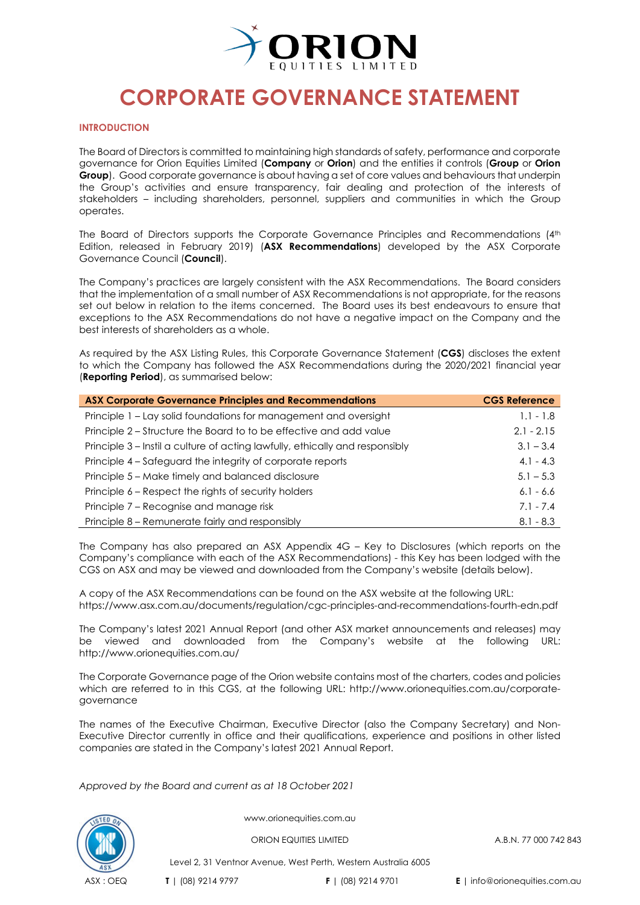

#### **INTRODUCTION**

The Board of Directors is committed to maintaining high standards of safety, performance and corporate governance for [Orion Equities Limited](http://orionequities.com.au/) (**Company** or **Orion**) and the entities it controls (**Group** or **Orion Group**). Good corporate governance is about having a set of core values and behaviours that underpin the Group's activities and ensure transparency, fair dealing and protection of the interests of stakeholders – including shareholders, personnel, suppliers and communities in which the Group operates.

The Board of Directors supports the [Corporate Governance Principles and Recommendations \(4th](https://www.asx.com.au/documents/regulation/cgc-principles-and-recommendations-fourth-edn.pdf) [Edition, released in February 2019\)](https://www.asx.com.au/documents/regulation/cgc-principles-and-recommendations-fourth-edn.pdf) (**ASX Recommendations**) developed by the [ASX Corporate](https://www2.asx.com.au/about/regulation/asx-corporate-governance-council)  [Governance Council](https://www2.asx.com.au/about/regulation/asx-corporate-governance-council) (**Council**).

The Company's practices are largely consistent with the ASX Recommendations. The Board considers that the implementation of a small number of ASX Recommendations is not appropriate, for the reasons set out below in relation to the items concerned. The Board uses its best endeavours to ensure that exceptions to the ASX Recommendations do not have a negative impact on the Company and the best interests of shareholders as a whole.

As required by the [ASX Listing Rules,](http://www.asx.com.au/documents/rules/gn09_disclosure_corporate_governance_practices.pdf) this Corporate Governance Statement (**CGS**) discloses the extent to which the Company has followed the ASX Recommendations during the 2020/2021 financial year (**Reporting Period**), as summarised below:

| <b>ASX Corporate Governance Principles and Recommendations</b>               | <b>CGS Reference</b> |
|------------------------------------------------------------------------------|----------------------|
| Principle 1 - Lay solid foundations for management and oversight             | $1.1 - 1.8$          |
| Principle 2 – Structure the Board to to be effective and add value           | $2.1 - 2.15$         |
| Principle 3 – Instil a culture of acting lawfully, ethically and responsibly | $3.1 - 3.4$          |
| Principle 4 – Safeguard the integrity of corporate reports                   | $4.1 - 4.3$          |
| Principle 5 – Make timely and balanced disclosure                            | $5.1 - 5.3$          |
| Principle 6 – Respect the rights of security holders                         | $6.1 - 6.6$          |
| Principle 7 - Recognise and manage risk                                      | $7.1 - 7.4$          |
| Principle 8 – Remunerate fairly and responsibly                              | $8.1 - 8.3$          |

The Company has also prepared an [ASX Appendix 4G –](http://www.orionequities.com.au/corporate-governance) Key to Disclosures (which reports on the Company's compliance with each of the ASX Recommendations) - this Key has been lodged with the CGS on ASX and may be viewed and downloaded from the Company's website (details below).

A copy of the ASX Recommendations can be found on the ASX website at the following URL: <https://www.asx.com.au/documents/regulation/cgc-principles-and-recommendations-fourth-edn.pdf>

The Company's latest [2021 Annual Report](http://www.orionequities.com.au/reports/6) (and other ASX market announcements and releases) may be viewed and downloaded from the Company's website at the following URL: <http://www.orionequities.com.au/>

The Corporate Governance page of the Orion website contains most of the charters, codes and policies which are referred to in this CGS, at the following URL: [http://www.orionequities.com.au/corporate](http://www.orionequities.com.au/corporate-governance)[governance](http://www.orionequities.com.au/corporate-governance)

The names of the Executive Chairman, Executive Director (also the Company Secretary) and Non-Executive Director currently in office and their qualifications, experience and positions in other listed companies are stated in the Company's latest 2021 [Annual Report.](http://www.orionequities.com.au/reports/6)

*Approved by the Board and current as at 18 October 2021*



www.orionequities.com.au

ORION EQUITIES LIMITED A.B.N. 77 000 742 843

Level 2, 31 Ventnor Avenue, West Perth, Western Australia 6005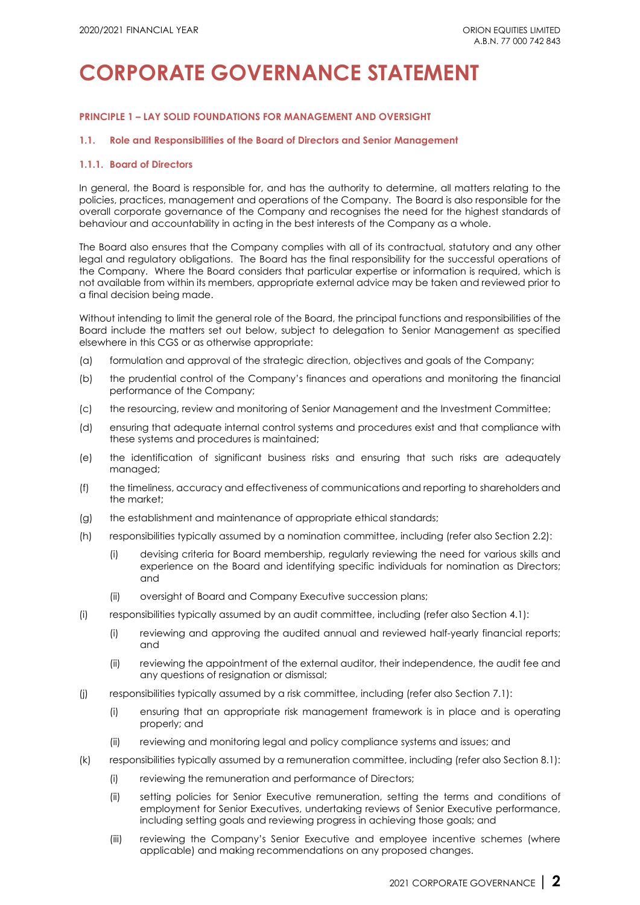## **PRINCIPLE 1 – LAY SOLID FOUNDATIONS FOR MANAGEMENT AND OVERSIGHT**

### **1.1. Role and Responsibilities of the Board of Directors and Senior Management**

#### **1.1.1. Board of Directors**

In general, the Board is responsible for, and has the authority to determine, all matters relating to the policies, practices, management and operations of the Company. The Board is also responsible for the overall corporate governance of the Company and recognises the need for the highest standards of behaviour and accountability in acting in the best interests of the Company as a whole.

The Board also ensures that the Company complies with all of its contractual, statutory and any other legal and regulatory obligations. The Board has the final responsibility for the successful operations of the Company. Where the Board considers that particular expertise or information is required, which is not available from within its members, appropriate external advice may be taken and reviewed prior to a final decision being made.

Without intending to limit the general role of the Board, the principal functions and responsibilities of the Board include the matters set out below, subject to delegation to Senior Management as specified elsewhere in this CGS or as otherwise appropriate:

- (a) formulation and approval of the strategic direction, objectives and goals of the Company;
- (b) the prudential control of the Company's finances and operations and monitoring the financial performance of the Company;
- (c) the resourcing, review and monitoring of Senior Management and the Investment Committee;
- (d) ensuring that adequate internal control systems and procedures exist and that compliance with these systems and procedures is maintained;
- (e) the identification of significant business risks and ensuring that such risks are adequately managed;
- (f) the timeliness, accuracy and effectiveness of communications and reporting to shareholders and the market;
- (g) the establishment and maintenance of appropriate ethical standards;
- (h) responsibilities typically assumed by a nomination committee, including (refer also Section 2.2):
	- (i) devising criteria for Board membership, regularly reviewing the need for various skills and experience on the Board and identifying specific individuals for nomination as Directors; and
	- (ii) oversight of Board and Company Executive succession plans;
- (i) responsibilities typically assumed by an audit committee, including (refer also Section 4.1):
	- (i) reviewing and approving the audited annual and reviewed half-yearly financial reports; and
	- (ii) reviewing the appointment of the external auditor, their independence, the audit fee and any questions of resignation or dismissal;
- (j) responsibilities typically assumed by a risk committee, including (refer also Section 7.1):
	- (i) ensuring that an appropriate risk management framework is in place and is operating properly; and
	- (ii) reviewing and monitoring legal and policy compliance systems and issues; and
- (k) responsibilities typically assumed by a remuneration committee, including (refer also Section 8.1):
	- (i) reviewing the remuneration and performance of Directors;
	- (ii) setting policies for Senior Executive remuneration, setting the terms and conditions of employment for Senior Executives, undertaking reviews of Senior Executive performance, including setting goals and reviewing progress in achieving those goals; and
	- (iii) reviewing the Company's Senior Executive and employee incentive schemes (where applicable) and making recommendations on any proposed changes.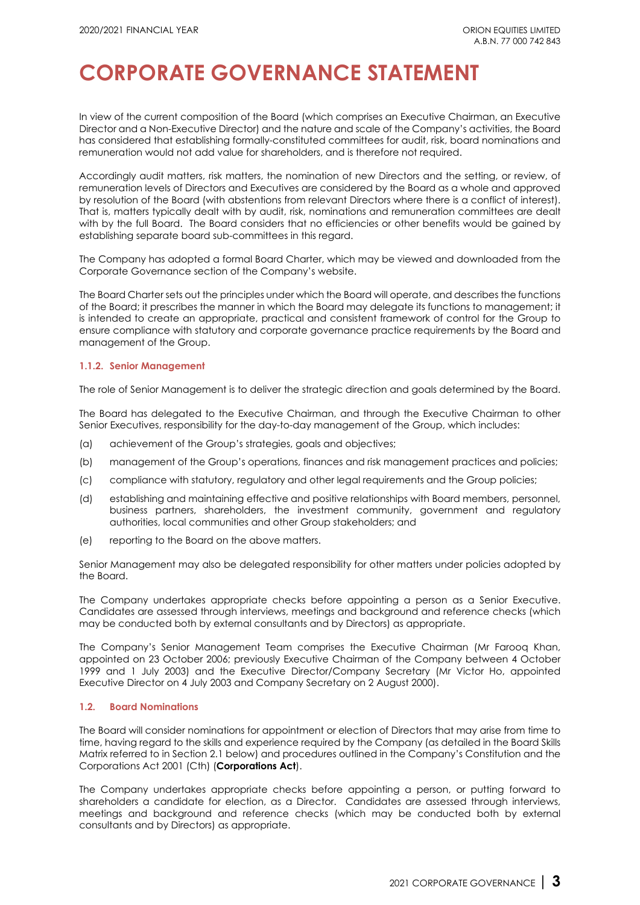In view of the current composition of the Board (which comprises an Executive Chairman, an Executive Director and a Non-Executive Director) and the nature and scale of the Company's activities, the Board has considered that establishing formally-constituted committees for audit, risk, board nominations and remuneration would not add value for shareholders, and is therefore not required.

Accordingly audit matters, risk matters, the nomination of new Directors and the setting, or review, of remuneration levels of Directors and Executives are considered by the Board as a whole and approved by resolution of the Board (with abstentions from relevant Directors where there is a conflict of interest). That is, matters typically dealt with by audit, risk, nominations and remuneration committees are dealt with by the full Board. The Board considers that no efficiencies or other benefits would be gained by establishing separate board sub-committees in this regard.

The Company has adopted a formal [Board Charter,](http://www.orionequities.com.au/sites/default/files/20211015%20OEQ%20Board%20Charter.pdf) which may be viewed and downloaded from [the](http://www.orionequities.com.au/corporate-governance)  [Corporate Governance section of the Company's website.](http://www.orionequities.com.au/corporate-governance) 

The Board Charter sets out the principles under which the Board will operate, and describes the functions of the Board; it prescribes the manner in which the Board may delegate its functions to management; it is intended to create an appropriate, practical and consistent framework of control for the Group to ensure compliance with statutory and corporate governance practice requirements by the Board and management of the Group.

### **1.1.2. Senior Management**

The role of Senior Management is to deliver the strategic direction and goals determined by the Board.

The Board has delegated to the Executive Chairman, and through the Executive Chairman to other Senior Executives, responsibility for the day-to-day management of the Group, which includes:

- (a) achievement of the Group's strategies, goals and objectives;
- (b) management of the Group's operations, finances and risk management practices and policies;
- (c) compliance with statutory, regulatory and other legal requirements and the Group policies;
- (d) establishing and maintaining effective and positive relationships with Board members, personnel, business partners, shareholders, the investment community, government and regulatory authorities, local communities and other Group stakeholders; and
- (e) reporting to the Board on the above matters.

Senior Management may also be delegated responsibility for other matters under policies adopted by the Board.

The Company undertakes appropriate checks before appointing a person as a Senior Executive. Candidates are assessed through interviews, meetings and background and reference checks (which may be conducted both by external consultants and by Directors) as appropriate.

The Company's Senior Management Team comprises the Executive Chairman (Mr Farooq Khan, appointed on 23 October 2006; previously Executive Chairman of the Company between 4 October 1999 and 1 July 2003) and the Executive Director/Company Secretary (Mr Victor Ho, appointed Executive Director on 4 July 2003 and Company Secretary on 2 August 2000).

### **1.2. Board Nominations**

The Board will consider nominations for appointment or election of Directors that may arise from time to time, having regard to the skills and experience required by the Company (as detailed in the Board Skills Matrix referred to in Section 2.1 below) and procedures outlined in the Company's [Constitution](http://orionequities.com.au/sites/default/files/20131211%20OEQ%20ASIC%20Constitution%20-%20Amended%20signed.pdf) and the [Corporations Act 2001 \(Cth\)](http://www.austlii.edu.au/au/legis/cth/consol_act/ca2001172/) (**Corporations Act**).

The Company undertakes appropriate checks before appointing a person, or putting forward to shareholders a candidate for election, as a Director. Candidates are assessed through interviews, meetings and background and reference checks (which may be conducted both by external consultants and by Directors) as appropriate.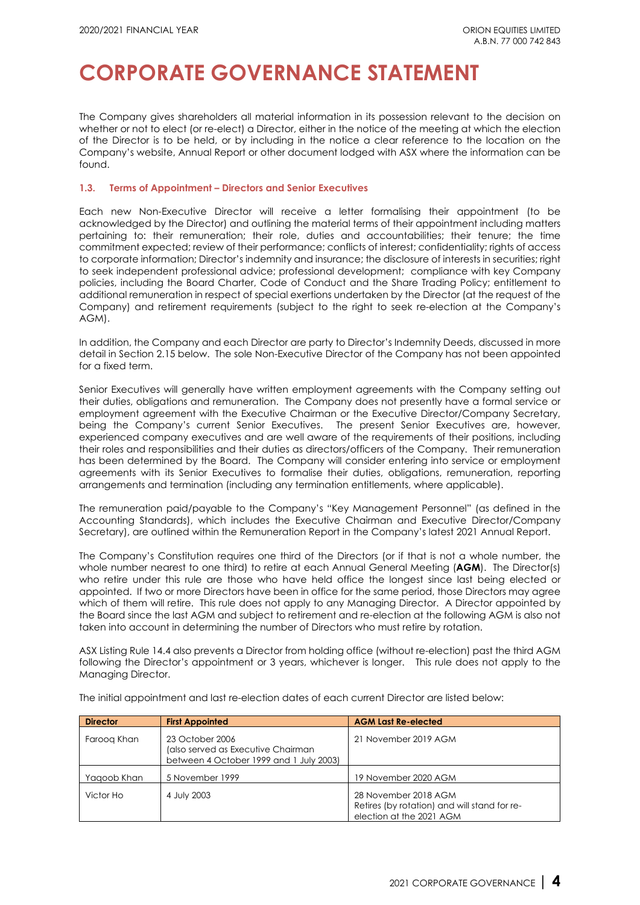The Company gives shareholders all material information in its possession relevant to the decision on whether or not to elect (or re-elect) a Director, either in the notice of the meeting at which the election of the Director is to be held, or by including in the notice a clear reference to the location on the Company's website, Annual Report or other document lodged with ASX where the information can be found.

### **1.3. Terms of Appointment – Directors and Senior Executives**

Each new Non-Executive Director will receive a letter formalising their appointment (to be acknowledged by the Director) and outlining the material terms of their appointment including matters pertaining to: their remuneration; their role, duties and accountabilities; their tenure; the time commitment expected; review of their performance; conflicts of interest; confidentiality; rights of access to corporate information; Director's indemnity and insurance; the disclosure of interests in securities; right to seek independent professional advice; professional development; compliance with key Company policies, including the [Board Charter,](http://orionequities.com.au/sites/default/files/20211015%20OEQ%20Board%20Charter.pdf) [Code of Conduct](http://orionequities.com.au/sites/default/files/20111010%20OEQ%20Code%20of%20Conduct.pdf) and the [Share Trading Policy;](http://orionequities.com.au/sites/default/files/20101231%20OEQ%20Share%20Trading%20Policy.pdf) entitlement to additional remuneration in respect of special exertions undertaken by the Director (at the request of the Company) and retirement requirements (subject to the right to seek re-election at the Company's AGM).

In addition, the Company and each Director are party to Director's Indemnity Deeds, discussed in more detail in Section 2.15 below. The sole Non-Executive Director of the Company has not been appointed for a fixed term.

Senior Executives will generally have written employment agreements with the Company setting out their duties, obligations and remuneration. The Company does not presently have a formal service or employment agreement with the Executive Chairman or the Executive Director/Company Secretary, being the Company's current Senior Executives. The present Senior Executives are, however, experienced company executives and are well aware of the requirements of their positions, including their roles and responsibilities and their duties as directors/officers of the Company. Their remuneration has been determined by the Board. The Company will consider entering into service or employment agreements with its Senior Executives to formalise their duties, obligations, remuneration, reporting arrangements and termination (including any termination entitlements, where applicable).

The remuneration paid/payable to the Company's ["Key Management Personnel"](http://www.aasb.gov.au/admin/file/content105/c9/AASB124_12-09.pdf) (as defined in the Accounting Standards), which includes the Executive Chairman and Executive Director/Company Secretary), are outlined within the Remuneration Report in the Company's latest [2021 Annual Report.](http://www.orionequities.com.au/reports/6)

The Company's Constitution requires one third of the Directors (or if that is not a whole number, the whole number nearest to one third) to retire at each Annual General Meeting (**AGM**). The Director(s) who retire under this rule are those who have held office the longest since last being elected or appointed. If two or more Directors have been in office for the same period, those Directors may agree which of them will retire. This rule does not apply to any Managing Director. A Director appointed by the Board since the last AGM and subject to retirement and re-election at the following AGM is also not taken into account in determining the number of Directors who must retire by rotation.

[ASX Listing Rule 14.4](https://www.asx.com.au/documents/rules/Chapter14.pdf) also prevents a Director from holding office (without re-election) past the third AGM following the Director's appointment or 3 years, whichever is longer. This rule does not apply to the Managing Director.

| <b>Director</b> | <b>First Appointed</b>                                                                           | <b>AGM Last Re-elected</b>                                                                       |
|-----------------|--------------------------------------------------------------------------------------------------|--------------------------------------------------------------------------------------------------|
| Faroog Khan     | 23 October 2006<br>(also served as Executive Chairman<br>between 4 October 1999 and 1 July 2003) | 21 November 2019 AGM                                                                             |
| Yagoob Khan     | 5 November 1999                                                                                  | 19 November 2020 AGM                                                                             |
| Victor Ho       | 4 July 2003                                                                                      | 28 November 2018 AGM<br>Retires (by rotation) and will stand for re-<br>election at the 2021 AGM |

The initial appointment and last re-election dates of each current Director are listed below: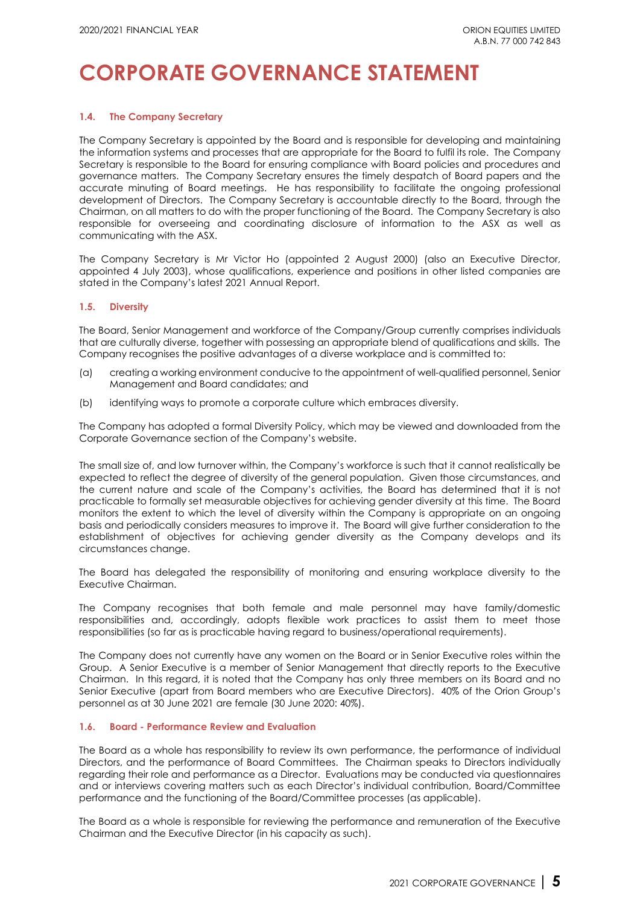## **1.4. The Company Secretary**

The Company Secretary is appointed by the Board and is responsible for developing and maintaining the information systems and processes that are appropriate for the Board to fulfil its role. The Company Secretary is responsible to the Board for ensuring compliance with Board policies and procedures and governance matters. The Company Secretary ensures the timely despatch of Board papers and the accurate minuting of Board meetings. He has responsibility to facilitate the ongoing professional development of Directors. The Company Secretary is accountable directly to the Board, through the Chairman, on all matters to do with the proper functioning of the Board. The Company Secretary is also responsible for overseeing and coordinating disclosure of information to the ASX as well as communicating with the ASX.

The Company Secretary is Mr Victor Ho (appointed 2 August 2000) (also an Executive Director, appointed 4 July 2003), whose qualifications, experience and positions in other listed companies are stated in the Company's latest [2021 Annual Report.](http://www.orionequities.com.au/reports/6)

### **1.5. Diversity**

The Board, Senior Management and workforce of the Company/Group currently comprises individuals that are culturally diverse, together with possessing an appropriate blend of qualifications and skills. The Company recognises the positive advantages of a diverse workplace and is committed to:

- (a) creating a working environment conducive to the appointment of well-qualified personnel, Senior Management and Board candidates; and
- (b) identifying ways to promote a corporate culture which embraces diversity.

The Company has adopted a formal [Diversity Policy,](http://orionequities.com.au/sites/default/files/20211015%20OEQ%20Diversity%20Policy.pdf) which may be viewed and downloaded from the [Corporate Governance section of the Company's website.](http://www.orionequities.com.au/corporate-governance) 

The small size of, and low turnover within, the Company's workforce is such that it cannot realistically be expected to reflect the degree of diversity of the general population. Given those circumstances, and the current nature and scale of the Company's activities, the Board has determined that it is not practicable to formally set measurable objectives for achieving gender diversity at this time. The Board monitors the extent to which the level of diversity within the Company is appropriate on an ongoing basis and periodically considers measures to improve it. The Board will give further consideration to the establishment of objectives for achieving gender diversity as the Company develops and its circumstances change.

The Board has delegated the responsibility of monitoring and ensuring workplace diversity to the Executive Chairman.

The Company recognises that both female and male personnel may have family/domestic responsibilities and, accordingly, adopts flexible work practices to assist them to meet those responsibilities (so far as is practicable having regard to business/operational requirements).

The Company does not currently have any women on the Board or in Senior Executive roles within the Group. A Senior Executive is a member of Senior Management that directly reports to the Executive Chairman. In this regard, it is noted that the Company has only three members on its Board and no Senior Executive (apart from Board members who are Executive Directors). 40% of the Orion Group's personnel as at 30 June 2021 are female (30 June 2020: 40%).

### **1.6. Board - Performance Review and Evaluation**

The Board as a whole has responsibility to review its own performance, the performance of individual Directors, and the performance of Board Committees. The Chairman speaks to Directors individually regarding their role and performance as a Director. Evaluations may be conducted via questionnaires and or interviews covering matters such as each Director's individual contribution, Board/Committee performance and the functioning of the Board/Committee processes (as applicable).

The Board as a whole is responsible for reviewing the performance and remuneration of the Executive Chairman and the Executive Director (in his capacity as such).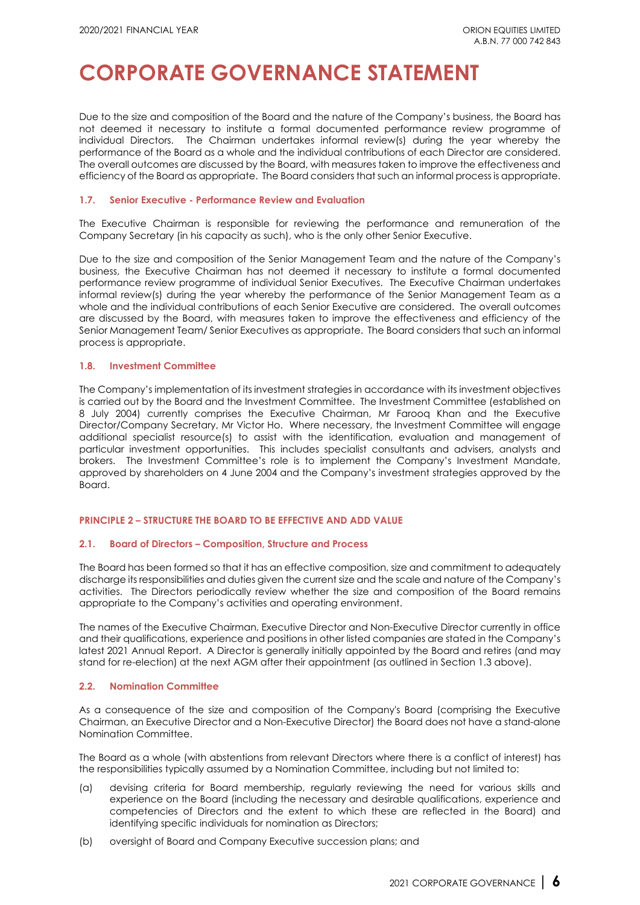Due to the size and composition of the Board and the nature of the Company's business, the Board has not deemed it necessary to institute a formal documented performance review programme of individual Directors. The Chairman undertakes informal review(s) during the year whereby the performance of the Board as a whole and the individual contributions of each Director are considered. The overall outcomes are discussed by the Board, with measures taken to improve the effectiveness and efficiency of the Board as appropriate. The Board considers that such an informal process is appropriate.

### **1.7. Senior Executive - Performance Review and Evaluation**

The Executive Chairman is responsible for reviewing the performance and remuneration of the Company Secretary (in his capacity as such), who is the only other Senior Executive.

Due to the size and composition of the Senior Management Team and the nature of the Company's business, the Executive Chairman has not deemed it necessary to institute a formal documented performance review programme of individual Senior Executives. The Executive Chairman undertakes informal review(s) during the year whereby the performance of the Senior Management Team as a whole and the individual contributions of each Senior Executive are considered. The overall outcomes are discussed by the Board, with measures taken to improve the effectiveness and efficiency of the Senior Management Team/ Senior Executives as appropriate. The Board considers that such an informal process is appropriate.

### **1.8. Investment Committee**

The Company's implementation of its investment strategies in accordance with its investment objectives is carried out by the Board and the Investment Committee. The Investment Committee (established on 8 July 2004) currently comprises the Executive Chairman, Mr Farooq Khan and the Executive Director/Company Secretary, Mr Victor Ho. Where necessary, the Investment Committee will engage additional specialist resource(s) to assist with the identification, evaluation and management of particular investment opportunities. This includes specialist consultants and advisers, analysts and brokers. The Investment Committee's role is to implement the Company's Investment Mandate, approved by shareholders on [4 June 2004](http://www.orionequities.com.au/sites/default/files/pdfs/asx_market_announcements/20030505_CXL_Notice_of_Meeting.pdf) and the Company's investment strategies approved by the Board.

### **PRINCIPLE 2 – STRUCTURE THE BOARD TO BE EFFECTIVE AND ADD VALUE**

### **2.1. Board of Directors – Composition, Structure and Process**

The Board has been formed so that it has an effective composition, size and commitment to adequately discharge its responsibilities and duties given the current size and the scale and nature of the Company's activities. The Directors periodically review whether the size and composition of the Board remains appropriate to the Company's activities and operating environment.

The names of the Executive Chairman, Executive Director and Non-Executive Director currently in office and their qualifications, experience and positions in other listed companies are stated in the Company's lates[t 2021 Annual Report.](http://www.orionequities.com.au/reports/6) A Director is generally initially appointed by the Board and retires (and may stand for re-election) at the next AGM after their appointment (as outlined in Section 1.3 above).

### **2.2. Nomination Committee**

As a consequence of the size and composition of the Company's Board (comprising the Executive Chairman, an Executive Director and a Non-Executive Director) the Board does not have a stand-alone Nomination Committee.

The Board as a whole (with abstentions from relevant Directors where there is a conflict of interest) has the responsibilities typically assumed by a Nomination Committee, including but not limited to:

- (a) devising criteria for Board membership, regularly reviewing the need for various skills and experience on the Board (including the necessary and desirable qualifications, experience and competencies of Directors and the extent to which these are reflected in the Board) and identifying specific individuals for nomination as Directors;
- (b) oversight of Board and Company Executive succession plans; and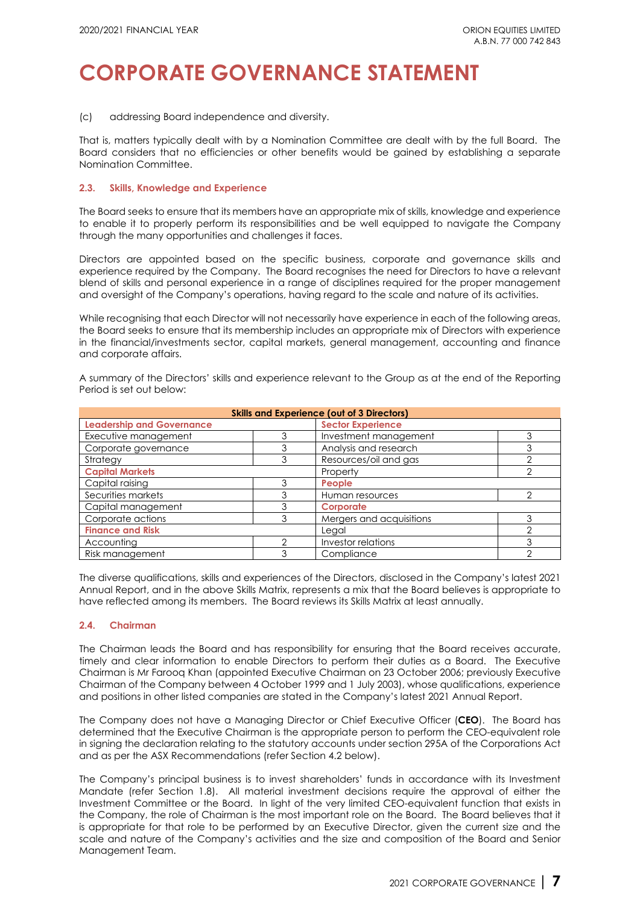(c) addressing Board independence and diversity.

That is, matters typically dealt with by a Nomination Committee are dealt with by the full Board. The Board considers that no efficiencies or other benefits would be gained by establishing a separate Nomination Committee.

### **2.3. Skills, Knowledge and Experience**

The Board seeks to ensure that its members have an appropriate mix of skills, knowledge and experience to enable it to properly perform its responsibilities and be well equipped to navigate the Company through the many opportunities and challenges it faces.

Directors are appointed based on the specific business, corporate and governance skills and experience required by the Company. The Board recognises the need for Directors to have a relevant blend of skills and personal experience in a range of disciplines required for the proper management and oversight of the Company's operations, having regard to the scale and nature of its activities.

While recognising that each Director will not necessarily have experience in each of the following areas, the Board seeks to ensure that its membership includes an appropriate mix of Directors with experience in the financial/investments sector, capital markets, general management, accounting and finance and corporate affairs.

A summary of the Directors' skills and experience relevant to the Group as at the end of the Reporting Period is set out below:

| <b>Skills and Experience (out of 3 Directors)</b> |  |                          |   |  |  |  |
|---------------------------------------------------|--|--------------------------|---|--|--|--|
| <b>Leadership and Governance</b>                  |  | <b>Sector Experience</b> |   |  |  |  |
| Executive management                              |  | Investment management    |   |  |  |  |
| Corporate governance                              |  | Analysis and research    |   |  |  |  |
| Strategy                                          |  | Resources/oil and gas    |   |  |  |  |
| <b>Capital Markets</b>                            |  | Property                 |   |  |  |  |
| Capital raising                                   |  | People                   |   |  |  |  |
| Securities markets                                |  | Human resources          |   |  |  |  |
| Capital management                                |  | Corporate                |   |  |  |  |
| Corporate actions                                 |  | Mergers and acquisitions |   |  |  |  |
| <b>Finance and Risk</b>                           |  | Legal                    |   |  |  |  |
| Accounting                                        |  | Investor relations       | 3 |  |  |  |
| Risk management                                   |  | Compliance               |   |  |  |  |

The diverse qualifications, skills and experiences of the Directors, disclosed in the Company's lates[t 2021](http://www.orionequities.com.au/reports/6)  [Annual Report,](http://www.orionequities.com.au/reports/6) and in the above Skills Matrix, represents a mix that the Board believes is appropriate to have reflected among its members. The Board reviews its Skills Matrix at least annually.

### **2.4. Chairman**

The Chairman leads the Board and has responsibility for ensuring that the Board receives accurate, timely and clear information to enable Directors to perform their duties as a Board. The Executive Chairman is Mr Farooq Khan (appointed Executive Chairman on 23 October 2006; previously Executive Chairman of the Company between 4 October 1999 and 1 July 2003), whose qualifications, experience and positions in other listed companies are stated in the Company's latest [2021 Annual Report.](http://www.orionequities.com.au/reports/6) 

The Company does not have a Managing Director or Chief Executive Officer (**CEO**). The Board has determined that the Executive Chairman is the appropriate person to perform the CEO-equivalent role in signing the declaration relating to the statutory accounts unde[r section 295A](http://www.austlii.edu.au/au/legis/cth/consol_act/ca2001172/s295a.html) of the Corporations Act and as per the ASX Recommendations (refer Section 4.2 below).

The Company's principal business is to invest shareholders' funds in accordance with its Investment Mandate (refer Section 1.8). All material investment decisions require the approval of either the Investment Committee or the Board. In light of the very limited CEO-equivalent function that exists in the Company, the role of Chairman is the most important role on the Board. The Board believes that it is appropriate for that role to be performed by an Executive Director, given the current size and the scale and nature of the Company's activities and the size and composition of the Board and Senior Management Team.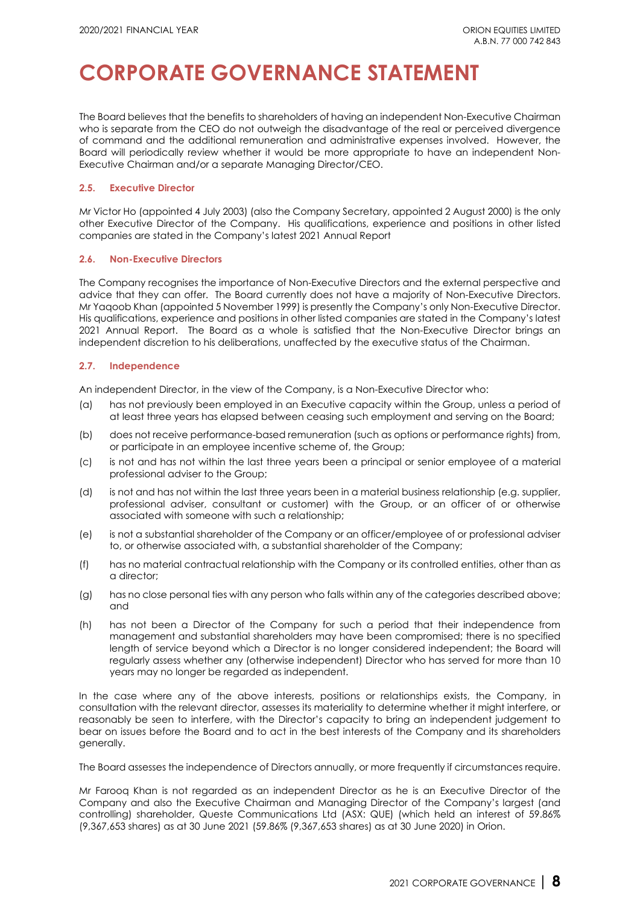The Board believes that the benefits to shareholders of having an independent Non-Executive Chairman who is separate from the CEO do not outweigh the disadvantage of the real or perceived divergence of command and the additional remuneration and administrative expenses involved. However, the Board will periodically review whether it would be more appropriate to have an independent Non-Executive Chairman and/or a separate Managing Director/CEO.

## **2.5. Executive Director**

Mr Victor Ho (appointed 4 July 2003) (also the Company Secretary, appointed 2 August 2000) is the only other Executive Director of the Company. His qualifications, experience and positions in other listed companies are stated in the Company's lates[t 2021 Annual Report](http://www.orionequities.com.au/reports/6)

### **2.6. Non-Executive Directors**

The Company recognises the importance of Non-Executive Directors and the external perspective and advice that they can offer. The Board currently does not have a majority of Non-Executive Directors. Mr Yaqoob Khan (appointed 5 November 1999) is presently the Company's only Non-Executive Director. His qualifications, experience and positions in other listed companies are stated in the Company's latest [2021 Annual Report.](http://www.orionequities.com.au/reports/6) The Board as a whole is satisfied that the Non-Executive Director brings an independent discretion to his deliberations, unaffected by the executive status of the Chairman.

## **2.7. Independence**

An independent Director, in the view of the Company, is a Non-Executive Director who:

- (a) has not previously been employed in an Executive capacity within the Group, unless a period of at least three years has elapsed between ceasing such employment and serving on the Board;
- (b) does not receive performance-based remuneration (such as options or performance rights) from, or participate in an employee incentive scheme of, the Group;
- (c) is not and has not within the last three years been a principal or senior employee of a material professional adviser to the Group;
- (d) is not and has not within the last three years been in a material business relationship (e.g. supplier, professional adviser, consultant or customer) with the Group, or an officer of or otherwise associated with someone with such a relationship;
- (e) is not a substantial shareholder of the Company or an officer/employee of or professional adviser to, or otherwise associated with, a substantial shareholder of the Company;
- (f) has no material contractual relationship with the Company or its controlled entities, other than as a director;
- (g) has no close personal ties with any person who falls within any of the categories described above; and
- (h) has not been a Director of the Company for such a period that their independence from management and substantial shareholders may have been compromised; there is no specified length of service beyond which a Director is no longer considered independent; the Board will regularly assess whether any (otherwise independent) Director who has served for more than 10 years may no longer be regarded as independent.

In the case where any of the above interests, positions or relationships exists, the Company, in consultation with the relevant director, assesses its materiality to determine whether it might interfere, or reasonably be seen to interfere, with the Director's capacity to bring an independent judgement to bear on issues before the Board and to act in the best interests of the Company and its shareholders generally.

The Board assesses the independence of Directors annually, or more frequently if circumstances require.

Mr Farooq Khan is not regarded as an independent Director as he is an Executive Director of the Company and also the Executive Chairman and Managing Director of the Company's largest (and controlling) shareholder, Queste Communications Ltd (ASX: QUE) (which held an interest of 59.86% (9,367,653 shares) as at 30 June 2021 (59.86% (9,367,653 shares) as at 30 June 2020) in Orion.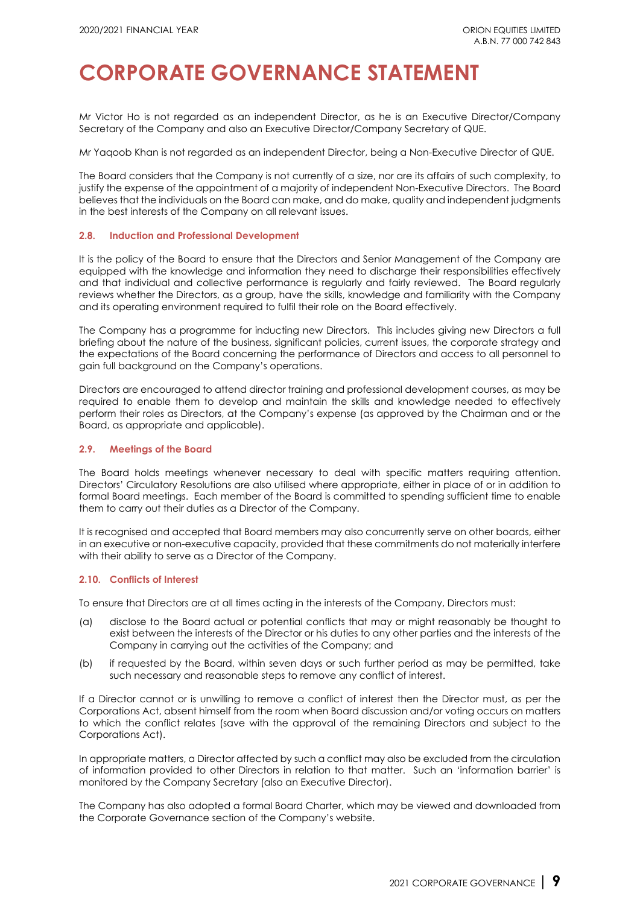Mr Victor Ho is not regarded as an independent Director, as he is an Executive Director/Company Secretary of the Company and also an Executive Director/Company Secretary of QUE.

Mr Yaqoob Khan is not regarded as an independent Director, being a Non-Executive Director of QUE.

The Board considers that the Company is not currently of a size, nor are its affairs of such complexity, to justify the expense of the appointment of a majority of independent Non-Executive Directors. The Board believes that the individuals on the Board can make, and do make, quality and independent judgments in the best interests of the Company on all relevant issues.

#### **2.8. Induction and Professional Development**

It is the policy of the Board to ensure that the Directors and Senior Management of the Company are equipped with the knowledge and information they need to discharge their responsibilities effectively and that individual and collective performance is regularly and fairly reviewed. The Board regularly reviews whether the Directors, as a group, have the skills, knowledge and familiarity with the Company and its operating environment required to fulfil their role on the Board effectively.

The Company has a programme for inducting new Directors. This includes giving new Directors a full briefing about the nature of the business, significant policies, current issues, the corporate strategy and the expectations of the Board concerning the performance of Directors and access to all personnel to gain full background on the Company's operations.

Directors are encouraged to attend director training and professional development courses, as may be required to enable them to develop and maintain the skills and knowledge needed to effectively perform their roles as Directors, at the Company's expense (as approved by the Chairman and or the Board, as appropriate and applicable).

#### **2.9. Meetings of the Board**

The Board holds meetings whenever necessary to deal with specific matters requiring attention. Directors' Circulatory Resolutions are also utilised where appropriate, either in place of or in addition to formal Board meetings. Each member of the Board is committed to spending sufficient time to enable them to carry out their duties as a Director of the Company.

It is recognised and accepted that Board members may also concurrently serve on other boards, either in an executive or non-executive capacity, provided that these commitments do not materially interfere with their ability to serve as a Director of the Company.

### **2.10. Conflicts of Interest**

To ensure that Directors are at all times acting in the interests of the Company, Directors must:

- (a) disclose to the Board actual or potential conflicts that may or might reasonably be thought to exist between the interests of the Director or his duties to any other parties and the interests of the Company in carrying out the activities of the Company; and
- (b) if requested by the Board, within seven days or such further period as may be permitted, take such necessary and reasonable steps to remove any conflict of interest.

If a Director cannot or is unwilling to remove a conflict of interest then the Director must, as per the Corporations Act, absent himself from the room when Board discussion and/or voting occurs on matters to which the conflict relates (save with the approval of the remaining Directors and subject to the Corporations Act).

In appropriate matters, a Director affected by such a conflict may also be excluded from the circulation of information provided to other Directors in relation to that matter. Such an 'information barrier' is monitored by the Company Secretary (also an Executive Director).

The Company has also adopted a formal [Board Charter,](http://www.orionequities.com.au/sites/default/files/20211015%20OEQ%20Board%20Charter.pdf) which may be viewed and downloaded from [the Corporate Governance section of the Company's website.](http://www.orionequities.com.au/corporate-governance)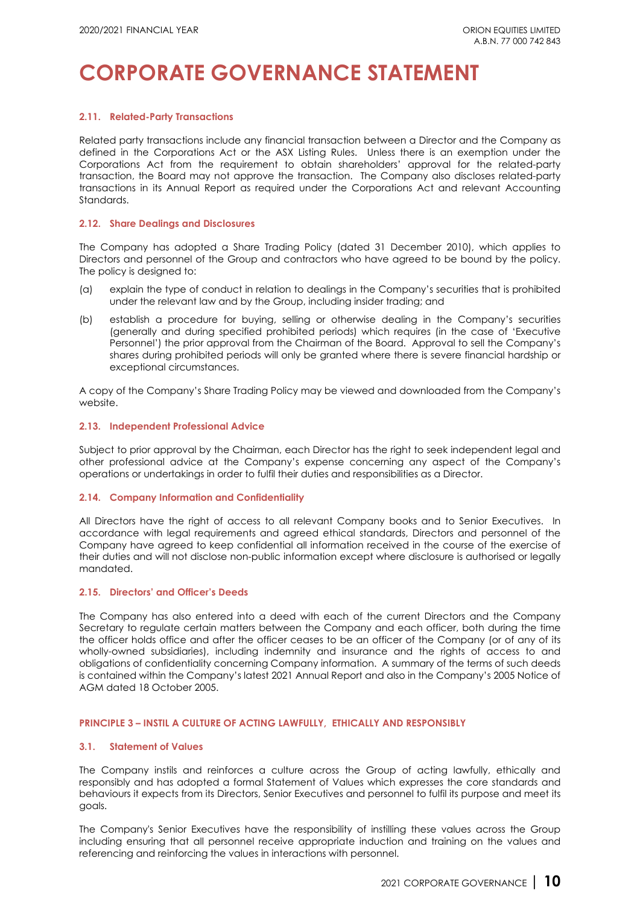#### **2.11. Related-Party Transactions**

Related party transactions include any financial transaction between a Director and the Company as defined in the Corporations Act or the ASX Listing Rules. Unless there is an exemption under the Corporations Act from the requirement to obtain shareholders' approval for the related-party transaction, the Board may not approve the transaction. The Company also discloses related-party transactions in its Annual Report as required under the Corporations Act and relevant Accounting Standards.

#### **2.12. Share Dealings and Disclosures**

The Company has adopted a [Share Trading Policy \(](http://orionequities.com.au/sites/default/files/20101231%20OEQ%20Share%20Trading%20Policy.pdf)dated 31 December 2010), which applies to Directors and personnel of the Group and contractors who have agreed to be bound by the policy. The policy is designed to:

- (a) explain the type of conduct in relation to dealings in the Company's securities that is prohibited under the relevant law and by the Group, including insider trading; and
- (b) establish a procedure for buying, selling or otherwise dealing in the Company's securities (generally and during specified prohibited periods) which requires (in the case of 'Executive Personnel') the prior approval from the Chairman of the Board. Approval to sell the Company's shares during prohibited periods will only be granted where there is severe financial hardship or exceptional circumstances.

A copy of the Company's [Share Trading Policy](http://www.orionequities.com.au/sites/default/files/20101231%20OEQ%20ASX%20Share%20Trading%20Policy.pdf) may be viewed and downloaded from [the Company's](http://www.orionequities.com.au/corporate-governance)  [website.](http://www.orionequities.com.au/corporate-governance)

#### **2.13. Independent Professional Advice**

Subject to prior approval by the Chairman, each Director has the right to seek independent legal and other professional advice at the Company's expense concerning any aspect of the Company's operations or undertakings in order to fulfil their duties and responsibilities as a Director.

#### **2.14. Company Information and Confidentiality**

All Directors have the right of access to all relevant Company books and to Senior Executives. In accordance with legal requirements and agreed ethical standards, Directors and personnel of the Company have agreed to keep confidential all information received in the course of the exercise of their duties and will not disclose non-public information except where disclosure is authorised or legally mandated.

#### **2.15. Directors' and Officer's Deeds**

The Company has also entered into a deed with each of the current Directors and the Company Secretary to regulate certain matters between the Company and each officer, both during the time the officer holds office and after the officer ceases to be an officer of the Company (or of any of its wholly-owned subsidiaries), including indemnity and insurance and the rights of access to and obligations of confidentiality concerning Company information. A summary of the terms of such deeds is contained within the Company's latest 2021 [Annual](http://www.orionequities.com.au/reports/6) Report and also in the Company's [2005 Notice of](http://orionequities.com.au/sites/default/files/20051027_CXL_2005_Notice_of_AGM_and_Proxy_Form.pdf)  [AGM dated 18 October 2005.](http://orionequities.com.au/sites/default/files/20051027_CXL_2005_Notice_of_AGM_and_Proxy_Form.pdf)

#### **PRINCIPLE 3 – INSTIL A CULTURE OF ACTING LAWFULLY, ETHICALLY AND RESPONSIBLY**

#### **3.1. Statement of Values**

The Company instils and reinforces a culture across the Group of acting lawfully, ethically and responsibly and has adopted a formal Statement of Values which expresses the core standards and behaviours it expects from its Directors, Senior Executives and personnel to fulfil its purpose and meet its goals.

The Company's Senior Executives have the responsibility of instilling these values across the Group including ensuring that all personnel receive appropriate induction and training on the values and referencing and reinforcing the values in interactions with personnel.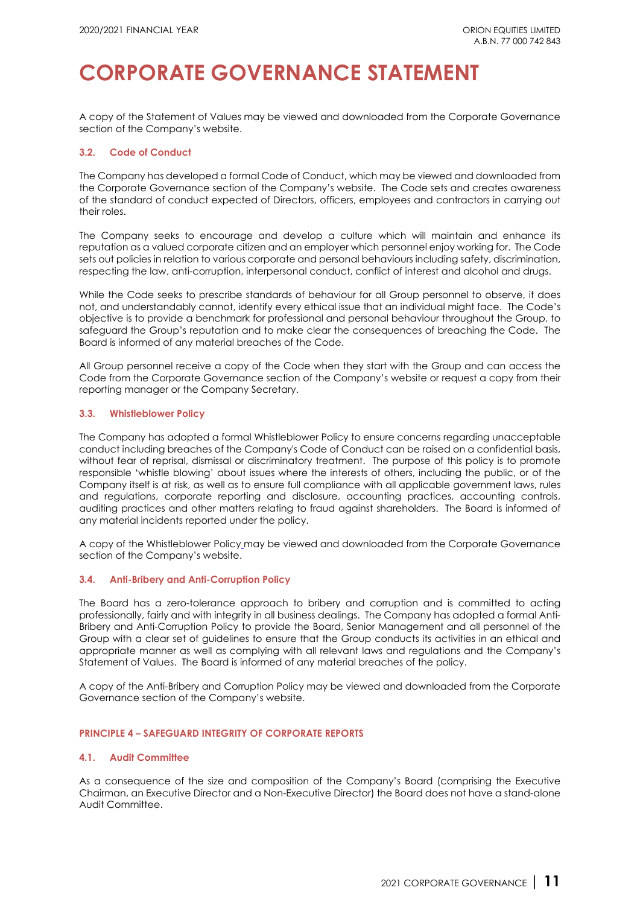A copy of the [Statement of Values](http://www.orionequities.com.au/sites/default/files/20211015%20OEQ%20Statement%20of%20Values.pdf) may be viewed and downloaded from [the Corporate Governance](http://www.orionequities.com.au/corporate-governance)  [section of the Company's website.](http://www.orionequities.com.au/corporate-governance)

### **3.2. Code of Conduct**

The Company has developed a forma[l Code of Conduct,](http://www.orionequities.com.au/sites/default/files/20111010%20OEQ%20Code%20of%20Conduct.pdf) which may be viewed and downloaded from [the Corporate Governance section of the Company's website.](http://www.orionequities.com.au/corporate-governance) The Code sets and creates awareness of the standard of conduct expected of Directors, officers, employees and contractors in carrying out their roles.

The Company seeks to encourage and develop a culture which will maintain and enhance its reputation as a valued corporate citizen and an employer which personnel enjoy working for. The Code sets out policies in relation to various corporate and personal behaviours including safety, discrimination, respecting the law, anti-corruption, interpersonal conduct, conflict of interest and alcohol and drugs.

While the Code seeks to prescribe standards of behaviour for all Group personnel to observe, it does not, and understandably cannot, identify every ethical issue that an individual might face. The Code's objective is to provide a benchmark for professional and personal behaviour throughout the Group, to safeguard the Group's reputation and to make clear the consequences of breaching the Code. The Board is informed of any material breaches of the Code.

All Group personnel receive a copy of the Code when they start with the Group and can access the Code from the Corporate Governance section of the Company'[s website](http://www.orionequities.com.au/) or request a copy from their reporting manager or the Company Secretary.

## **3.3. Whistleblower Policy**

The Company has adopted a formal Whistleblower Policy to ensure concerns regarding unacceptable conduct including breaches of the Company's Code of Conduct can be raised on a confidential basis, without fear of reprisal, dismissal or discriminatory treatment. The purpose of this policy is to promote responsible 'whistle blowing' about issues where the interests of others, including the public, or of the Company itself is at risk, as well as to ensure full compliance with all applicable government laws, rules and regulations, corporate reporting and disclosure, accounting practices, accounting controls, auditing practices and other matters relating to fraud against shareholders. The Board is informed of any material incidents reported under the policy.

A copy of the [Whistleblower Policy](http://www.orionequities.com.au/sites/default/files/20211015%20OEQ%20Whistleblower%20Policy.pdf) may be viewed and downloaded from [the Corporate Governance](http://www.orionequities.com.au/corporate-governance)  [section of the Company's website.](http://www.orionequities.com.au/corporate-governance)

### **3.4. Anti-Bribery and Anti-Corruption Policy**

The Board has a zero-tolerance approach to bribery and corruption and is committed to acting professionally, fairly and with integrity in all business dealings. The Company has adopted a formal Anti-Bribery and Anti-Corruption Policy to provide the Board, Senior Management and all personnel of the Group with a clear set of guidelines to ensure that the Group conducts its activities in an ethical and appropriate manner as well as complying with all relevant laws and regulations and the Company's Statement of Values. The Board is informed of any material breaches of the policy.

A copy of [the Anti-Bribery and Corruption Policy](http://www.orionequities.com.au/sites/default/files/20211015%20OEQ%20Anti-Bribery%20and%20Anti-Corruption%20Policy.pdf) may be viewed and downloaded from [the Corporate](http://www.orionequities.com.au/corporate-governance)  [Governance section of the Company's website.](http://www.orionequities.com.au/corporate-governance)

### **PRINCIPLE 4 – SAFEGUARD INTEGRITY OF CORPORATE REPORTS**

### **4.1. Audit Committee**

As a consequence of the size and composition of the Company's Board (comprising the Executive Chairman, an Executive Director and a Non-Executive Director) the Board does not have a stand-alone Audit Committee.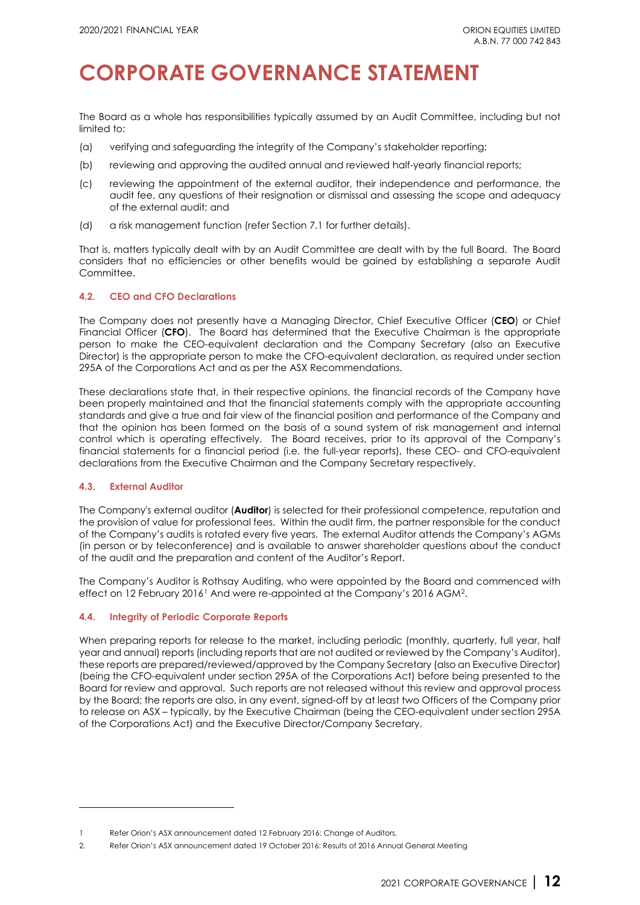The Board as a whole has responsibilities typically assumed by an Audit Committee, including but not limited to:

- (a) verifying and safeguarding the integrity of the Company's stakeholder reporting;
- (b) reviewing and approving the audited annual and reviewed half-yearly financial reports;
- (c) reviewing the appointment of the external auditor, their independence and performance, the audit fee, any questions of their resignation or dismissal and assessing the scope and adequacy of the external audit; and
- (d) a risk management function (refer Section 7.1 for further details).

That is, matters typically dealt with by an Audit Committee are dealt with by the full Board. The Board considers that no efficiencies or other benefits would be gained by establishing a separate Audit Committee.

### **4.2. CEO and CFO Declarations**

The Company does not presently have a Managing Director, Chief Executive Officer (**CEO**) or Chief Financial Officer (**CFO**). The Board has determined that the Executive Chairman is the appropriate person to make the CEO-equivalent declaration and the Company Secretary (also an Executive Director) is the appropriate person to make the CFO-equivalent declaration, as required under [section](http://www.austlii.edu.au/au/legis/cth/consol_act/ca2001172/s295a.html)  [295A](http://www.austlii.edu.au/au/legis/cth/consol_act/ca2001172/s295a.html) of the Corporations Act and as per the ASX Recommendations.

These declarations state that, in their respective opinions, the financial records of the Company have been properly maintained and that the financial statements comply with the appropriate accounting standards and give a true and fair view of the financial position and performance of the Company and that the opinion has been formed on the basis of a sound system of risk management and internal control which is operating effectively. The Board receives, prior to its approval of the Company's financial statements for a financial period (i.e. the full-year reports), these CEO- and CFO-equivalent declarations from the Executive Chairman and the Company Secretary respectively.

### **4.3. External Auditor**

The Company's external auditor (**Auditor**) is selected for their professional competence, reputation and the provision of value for professional fees. Within the audit firm, the partner responsible for the conduct of the Company's audits is rotated every five years. The external Auditor attends the Company's AGMs (in person or by teleconference) and is available to answer shareholder questions about the conduct of the audit and the preparation and content of the Auditor's Report.

The Company's Auditor is [Rothsay Auditing,](http://www.rothsay.com.au/) who were appointed by the Board and commenced with effect on [1](#page-11-0)2 February 2016<sup>1</sup> And were re-appointed at the Company's 2016 AGM<sup>2</sup>.

### **4.4. Integrity of Periodic Corporate Reports**

When preparing reports for release to the market, including periodic (monthly, quarterly, full year, half year and annual) reports (including reports that are not audited or reviewed by the Company's Auditor), these reports are prepared/reviewed/approved by the Company Secretary (also an Executive Director) (being the CFO-equivalent under [section 295A](http://www.austlii.edu.au/au/legis/cth/consol_act/ca2001172/s295a.html) of the Corporations Act) before being presented to the Board for review and approval. Such reports are not released without this review and approval process by the Board; the reports are also, in any event, signed-off by at least two Officers of the Company prior to release on ASX – typically, by the Executive Chairman (being the CEO-equivalent unde[r section 295A](http://www.austlii.edu.au/au/legis/cth/consol_act/ca2001172/s295a.html) of the Corporations Act) and the Executive Director/Company Secretary.

<span id="page-11-0"></span><sup>1</sup> Refer Orion's ASX announcement date[d 12 February 2016: Change of Auditors.](http://orionequities.com.au/sites/default/files/20160212%20OEQ%20ASX%20Change%20of%20Auditors.pdf)

<span id="page-11-1"></span><sup>2.</sup> Refer Orion's ASX announcement dated 19 October 2016[: Results of 2016 Annual General Meeting](http://www.asx.com.au/asxpdf/20161124/pdf/43d5y61bpff8wk.pdf)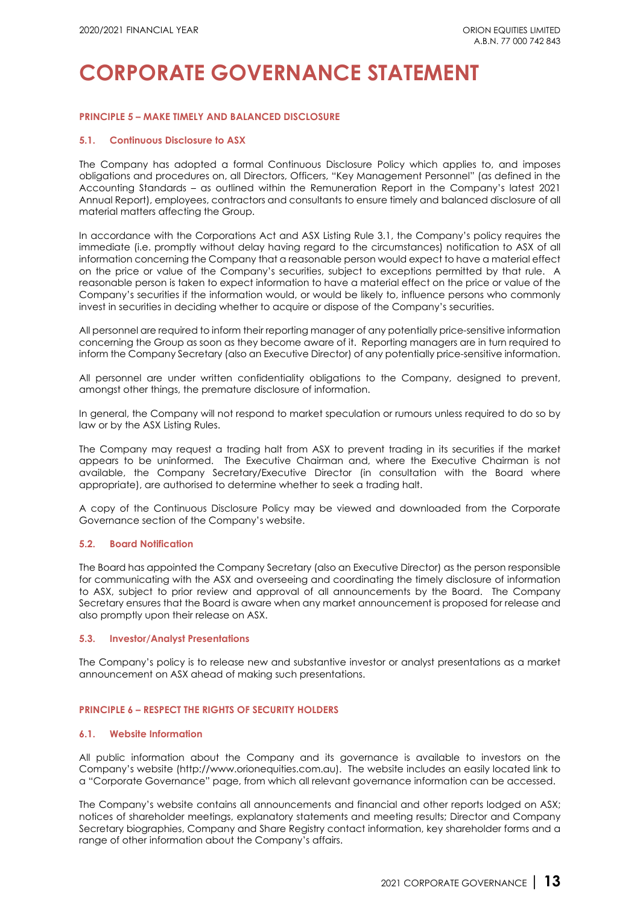#### **PRINCIPLE 5 – MAKE TIMELY AND BALANCED DISCLOSURE**

#### **5.1. Continuous Disclosure to ASX**

The Company has adopted a formal Continuous Disclosure Policy which applies to, and imposes obligations and procedures on, all Directors, Officers, ["Key Management Personnel"](http://www.aasb.gov.au/admin/file/content105/c9/AASB124_12-09.pdf) (as defined in the Accounting Standards – as outlined within the Remuneration Report in the Company's latest [2021](http://www.orionequities.com.au/reports/6)  [Annual Report\)](http://www.orionequities.com.au/reports/6), employees, contractors and consultants to ensure timely and balanced disclosure of all material matters affecting the Group.

In accordance with the Corporations Act and ASX Listing Rule 3.1, the Company's policy requires the immediate (i.e. promptly without delay having regard to the circumstances) notification to ASX of all information concerning the Company that a reasonable person would expect to have a material effect on the price or value of the Company's securities, subject to exceptions permitted by that rule. A reasonable person is taken to expect information to have a material effect on the price or value of the Company's securities if the information would, or would be likely to, influence persons who commonly invest in securities in deciding whether to acquire or dispose of the Company's securities.

All personnel are required to inform their reporting manager of any potentially price-sensitive information concerning the Group as soon as they become aware of it. Reporting managers are in turn required to inform the Company Secretary (also an Executive Director) of any potentially price-sensitive information.

All personnel are under written confidentiality obligations to the Company, designed to prevent, amongst other things, the premature disclosure of information.

In general, the Company will not respond to market speculation or rumours unless required to do so by law or by the ASX Listing Rules.

The Company may request a trading halt from ASX to prevent trading in its securities if the market appears to be uninformed. The Executive Chairman and, where the Executive Chairman is not available, the Company Secretary/Executive Director (in consultation with the Board where appropriate), are authorised to determine whether to seek a trading halt.

A copy of [the Continuous Disclosure Policy m](http://www.orionequities.com.au/sites/default/files/20211015%20OEQ%20Continuous%20Disclosure%20Policy.pdf)ay be viewed and downloaded from [the Corporate](http://www.orionequities.com.au/corporate-governance)  [Governance section of the Company's website.](http://www.orionequities.com.au/corporate-governance)

#### **5.2. Board Notification**

The Board has appointed the Company Secretary (also an Executive Director) as the person responsible for communicating with the ASX and overseeing and coordinating the timely disclosure of information to ASX, subject to prior review and approval of all announcements by the Board. The Company Secretary ensures that the Board is aware when any market announcement is proposed for release and also promptly upon their release on ASX.

#### **5.3. Investor/Analyst Presentations**

The Company's policy is to release new and substantive investor or analyst presentations as a market announcement on ASX ahead of making such presentations.

#### **PRINCIPLE 6 – RESPECT THE RIGHTS OF SECURITY HOLDERS**

#### **6.1. Website Information**

All public information about the Company and its governance is available to investors on the Company's website [\(http://www.orionequities.com.au\)](http://www.orionequities.com.au/). The website includes an easily located link to a "Corporate Governance" page, from which all relevant governance information can be accessed.

The Company's website contains all announcements and financial and other reports lodged on ASX; notices of shareholder meetings, explanatory statements and meeting results; Director and Company Secretary biographies, Company and Share Registry contact information, key shareholder forms and a range of other information about the Company's affairs.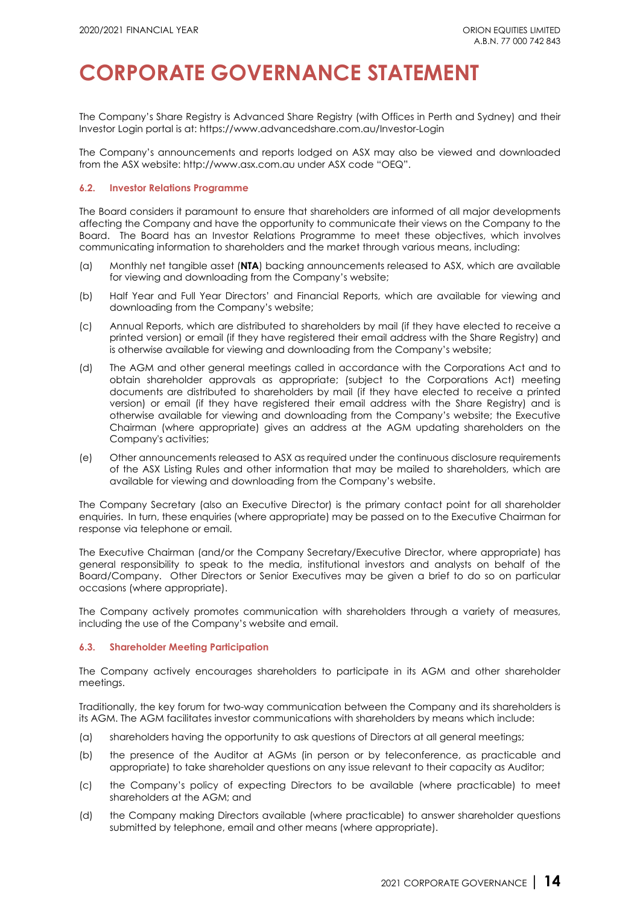The Company's Share Registry is Advanced Share Registry (with Offices in Perth and Sydney) and their Investor Login portal is at:<https://www.advancedshare.com.au/Investor-Login>

The Company's announcements and reports lodged on ASX may also be viewed and downloaded from the ASX website[: http://www.asx.com.au](http://www.asx.com.au/) under ASX code "OEQ".

### **6.2. Investor Relations Programme**

The Board considers it paramount to ensure that shareholders are informed of all major developments affecting the Company and have the opportunity to communicate their views on the Company to the Board. The Board has an Investor Relations Programme to meet these objectives, which involves communicating information to shareholders and the market through various means, including:

- (a) Monthly net tangible asset (**NTA**[\) backing announcements](http://orionequities.com.au/reports/10) released to ASX, which are available for viewing and downloading from the Company's website;
- (b) [Half Year](http://www.queste.com.au/report/half-year-reports) and [Full Year](http://www.queste.com.au/report/full-year-reports) Directors' and Financial Reports, which are available for viewing and downloading from the Company's website;
- (c) [Annual Reports,](http://www.queste.com.au/report/annual-reports) which are distributed to shareholders by mail (if they have elected to receive a printed version) or email (if they have registered their email address with the Share Registry) and is otherwise available for viewing and downloading from the Company's website;
- (d) The AGM and other general meetings called in accordance with the Corporations Act and to obtain shareholder approvals as appropriate; (subject to the Corporations Act) meeting documents are distributed to shareholders by mail (if they have elected to receive a printed version) or email (if they have registered their email address with the Share Registry) and is otherwise available for viewing and downloading from the Company's website; the Executive Chairman (where appropriate) gives an address at the AGM updating shareholders on the Company's activities;
- (e) [Other announcements](http://www.queste.com.au/report/asx-market-announcements) released to ASX as required under the continuous disclosure requirements of the ASX Listing Rules and other information that may be mailed to shareholders, which are available for viewing and downloading from the Company's website.

The Company Secretary (also an Executive Director) is the primary contact point for all shareholder enquiries. In turn, these enquiries (where appropriate) may be passed on to the Executive Chairman for response via telephone or email.

The Executive Chairman (and/or the Company Secretary/Executive Director, where appropriate) has general responsibility to speak to the media, institutional investors and analysts on behalf of the Board/Company. Other Directors or Senior Executives may be given a brief to do so on particular occasions (where appropriate).

The Company actively promotes communication with shareholders through a variety of measures, including the use of the Company's website and email.

### **6.3. Shareholder Meeting Participation**

The Company actively encourages shareholders to participate in its AGM and other shareholder meetings.

Traditionally, the key forum for two-way communication between the Company and its shareholders is its AGM. The AGM facilitates investor communications with shareholders by means which include:

- (a) shareholders having the opportunity to ask questions of Directors at all general meetings;
- (b) the presence of the Auditor at AGMs (in person or by teleconference, as practicable and appropriate) to take shareholder questions on any issue relevant to their capacity as Auditor;
- (c) the Company's policy of expecting Directors to be available (where practicable) to meet shareholders at the AGM; and
- (d) the Company making Directors available (where practicable) to answer shareholder questions submitted by telephone, email and other means (where appropriate).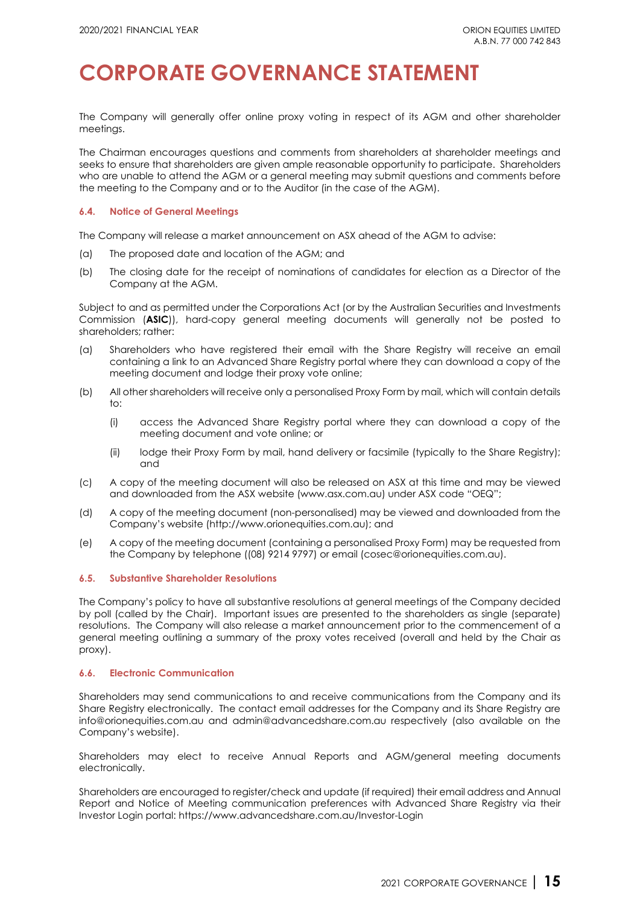The Company will generally offer online proxy voting in respect of its AGM and other shareholder meetings.

The Chairman encourages questions and comments from shareholders at shareholder meetings and seeks to ensure that shareholders are given ample reasonable opportunity to participate. Shareholders who are unable to attend the AGM or a general meeting may submit questions and comments before the meeting to the Company and or to the Auditor (in the case of the AGM).

#### **6.4. Notice of General Meetings**

The Company will release a market announcement on ASX ahead of the AGM to advise:

- (a) The proposed date and location of the AGM; and
- (b) The closing date for the receipt of nominations of candidates for election as a Director of the Company at the AGM.

Subject to and as permitted under the Corporations Act (or by the Australian Securities and Investments Commission (**ASIC**)), hard-copy general meeting documents will generally not be posted to shareholders; rather:

- (a) Shareholders who have registered their email with the Share Registry will receive an email containing a link to an Advanced Share Registry portal where they can download a copy of the meeting document and lodge their proxy vote online;
- (b) All other shareholders will receive only a personalised Proxy Form by mail, which will contain details to:
	- (i) access the Advanced Share Registry portal where they can download a copy of the meeting document and vote online; or
	- (ii) lodge their Proxy Form by mail, hand delivery or facsimile (typically to the Share Registry); and
- (c) A copy of the meeting document will also be released on ASX at this time and may be viewed and downloaded from the ASX website [\(www.asx.com.au\)](http://www.asx.com.au/) under ASX code ["OEQ"](https://www.asx.com.au/asx/statistics/announcements.do?by=asxCode&asxCode=que&timeframe=D&period=M6);
- (d) A copy of the meeting document (non-personalised) may be viewed and downloaded from the Company's website [\(http://www.orionequities.com.au\)](http://www.orionequities.com.au/); and
- (e) A copy of the meeting document (containing a personalised Proxy Form) may be requested from the Company by telephone ((08) 9214 9797) or email (cosec@orionequities.com.au).

### **6.5. Substantive Shareholder Resolutions**

The Company's policy to have all substantive resolutions at general meetings of the Company decided by poll (called by the Chair). Important issues are presented to the shareholders as single (separate) resolutions. The Company will also release a market announcement prior to the commencement of a general meeting outlining a summary of the proxy votes received (overall and held by the Chair as proxy).

### **6.6. Electronic Communication**

Shareholders may send communications to and receive communications from the Company and its Share Registry electronically. The contact email addresses for the Company and its Share Registry are [info@orionequities.com.au](mailto:info@orionequities.com.au) and [admin@advancedshare.com.au](mailto:admin@advancedshare.com.au) respectively (also available on the Company's website).

Shareholders may elect to receive Annual Reports and AGM/general meeting documents electronically.

Shareholders are encouraged to register/check and update (if required) their email address and Annual Report and Notice of Meeting communication preferences with Advanced Share Registry via their Investor Login portal:<https://www.advancedshare.com.au/Investor-Login>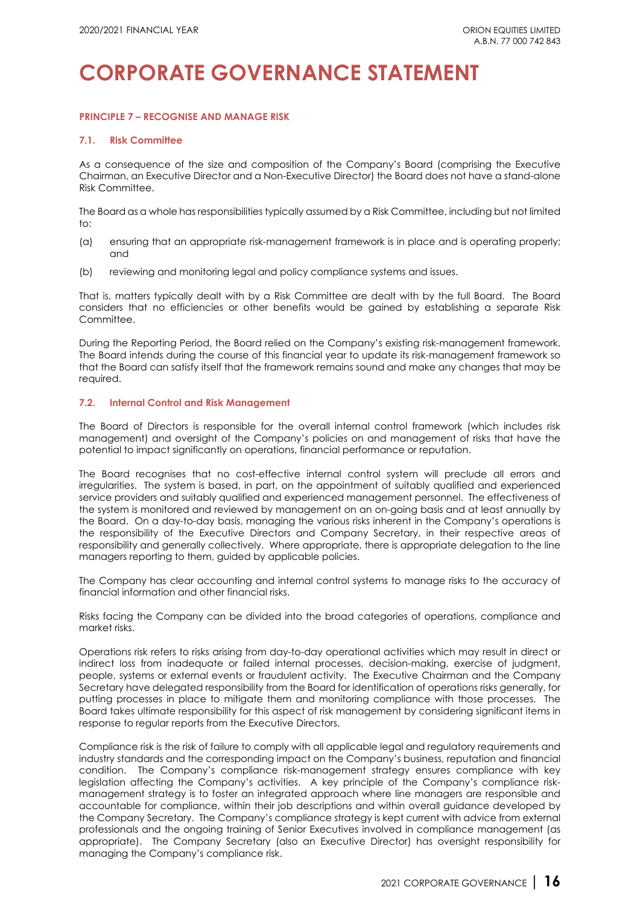## **PRINCIPLE 7 – RECOGNISE AND MANAGE RISK**

#### **7.1. Risk Committee**

As a consequence of the size and composition of the Company's Board (comprising the Executive Chairman, an Executive Director and a Non-Executive Director) the Board does not have a stand-alone Risk Committee.

The Board as a whole has responsibilities typically assumed by a Risk Committee, including but not limited to:

- (a) ensuring that an appropriate risk-management framework is in place and is operating properly; and
- (b) reviewing and monitoring legal and policy compliance systems and issues.

That is, matters typically dealt with by a Risk Committee are dealt with by the full Board. The Board considers that no efficiencies or other benefits would be gained by establishing a separate Risk Committee.

During the Reporting Period, the Board relied on the Company's existing risk-management framework. The Board intends during the course of this financial year to update its risk-management framework so that the Board can satisfy itself that the framework remains sound and make any changes that may be required.

#### **7.2. Internal Control and Risk Management**

The Board of Directors is responsible for the overall internal control framework (which includes risk management) and oversight of the Company's policies on and management of risks that have the potential to impact significantly on operations, financial performance or reputation.

The Board recognises that no cost-effective internal control system will preclude all errors and irregularities. The system is based, in part, on the appointment of suitably qualified and experienced service providers and suitably qualified and experienced management personnel. The effectiveness of the system is monitored and reviewed by management on an on-going basis and at least annually by the Board. On a day-to-day basis, managing the various risks inherent in the Company's operations is the responsibility of the Executive Directors and Company Secretary, in their respective areas of responsibility and generally collectively. Where appropriate, there is appropriate delegation to the line managers reporting to them, guided by applicable policies.

The Company has clear accounting and internal control systems to manage risks to the accuracy of financial information and other financial risks.

Risks facing the Company can be divided into the broad categories of operations, compliance and market risks.

Operations risk refers to risks arising from day-to-day operational activities which may result in direct or indirect loss from inadequate or failed internal processes, decision-making, exercise of judgment, people, systems or external events or fraudulent activity. The Executive Chairman and the Company Secretary have delegated responsibility from the Board for identification of operations risks generally, for putting processes in place to mitigate them and monitoring compliance with those processes. The Board takes ultimate responsibility for this aspect of risk management by considering significant items in response to regular reports from the Executive Directors.

Compliance risk is the risk of failure to comply with all applicable legal and regulatory requirements and industry standards and the corresponding impact on the Company's business, reputation and financial condition. The Company's compliance risk-management strategy ensures compliance with key legislation affecting the Company's activities. A key principle of the Company's compliance riskmanagement strategy is to foster an integrated approach where line managers are responsible and accountable for compliance, within their job descriptions and within overall guidance developed by the Company Secretary. The Company's compliance strategy is kept current with advice from external professionals and the ongoing training of Senior Executives involved in compliance management (as appropriate). The Company Secretary (also an Executive Director) has oversight responsibility for managing the Company's compliance risk.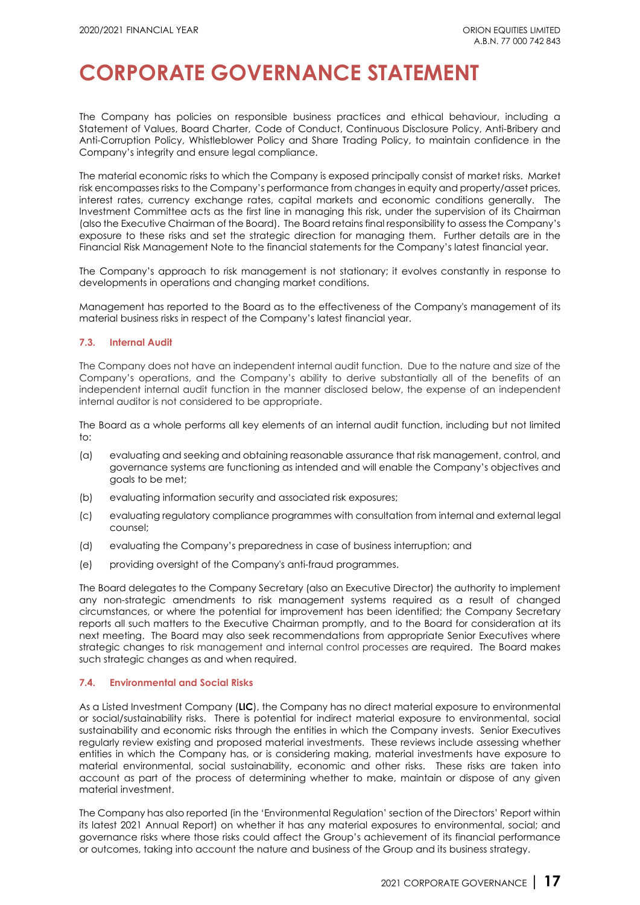The Company has policies on responsible business practices and ethical behaviour, including a [Statement of Values,](http://orionequities.com.au/sites/default/files/20211015%20OEQ%20Statement%20of%20Values.pdf) [Board Charter,](http://orionequities.com.au/sites/default/files/20211015%20OEQ%20Board%20Charter.pdf) [Code of Conduct,](http://orionequities.com.au/sites/default/files/20111010%20OEQ%20Code%20of%20Conduct.pdf) [Continuous Disclosure Policy,](http://orionequities.com.au/sites/default/files/20211015%20OEQ%20Continuous%20Disclosure%20Policy.pdf) [Anti-Bribery and](http://orionequities.com.au/sites/default/files/20211015%20OEQ%20Anti-Bribery%20and%20Anti-Corruption%20Policy.pdf)  [Anti-Corruption Policy,](http://orionequities.com.au/sites/default/files/20211015%20OEQ%20Anti-Bribery%20and%20Anti-Corruption%20Policy.pdf) [Whistleblower Policy](http://orionequities.com.au/sites/default/files/20211015%20OEQ%20Whistleblower%20Policy.pdf) and [Share Trading](http://orionequities.com.au/sites/default/files/20101231%20OEQ%20Share%20Trading%20Policy.pdf) Policy, to maintain confidence in the Company's integrity and ensure legal compliance.

The material economic risks to which the Company is exposed principally consist of market risks. Market risk encompasses risks to the Company's performance from changes in equity and property/asset prices, interest rates, currency exchange rates, capital markets and economic conditions generally. The Investment Committee acts as the first line in managing this risk, under the supervision of its Chairman (also the Executive Chairman of the Board). The Board retains final responsibility to assess the Company's exposure to these risks and set the strategic direction for managing them. Further details are in the Financial Risk Management Note to the financial statements for the Company's latest financial year.

The Company's approach to risk management is not stationary; it evolves constantly in response to developments in operations and changing market conditions.

Management has reported to the Board as to the effectiveness of the Company's management of its material business risks in respect of the Company's latest financial year.

### **7.3. Internal Audit**

The Company does not have an independent internal audit function. Due to the nature and size of the Company's operations, and the Company's ability to derive substantially all of the benefits of an independent internal audit function in the manner disclosed below, the expense of an independent internal auditor is not considered to be appropriate.

The Board as a whole performs all key elements of an internal audit function, including but not limited  $t^{\circ}$ 

- (a) evaluating and seeking and obtaining reasonable assurance that risk management, control, and governance systems are functioning as intended and will enable the Company's objectives and goals to be met;
- (b) evaluating information security and associated risk exposures;
- (c) evaluating regulatory compliance programmes with consultation from internal and external legal counsel;
- (d) evaluating the Company's preparedness in case of business interruption; and
- (e) providing oversight of the Company's anti-fraud programmes.

The Board delegates to the Company Secretary (also an Executive Director) the authority to implement any non-strategic amendments to risk management systems required as a result of changed circumstances, or where the potential for improvement has been identified; the Company Secretary reports all such matters to the Executive Chairman promptly, and to the Board for consideration at its next meeting. The Board may also seek recommendations from appropriate Senior Executives where strategic changes to risk management and internal control processes are required. The Board makes such strategic changes as and when required.

### **7.4. Environmental and Social Risks**

As a Listed Investment Company (**LIC**), the Company has no direct material exposure to environmental or social/sustainability risks. There is potential for indirect material exposure to environmental, social sustainability and economic risks through the entities in which the Company invests. Senior Executives regularly review existing and proposed material investments. These reviews include assessing whether entities in which the Company has, or is considering making, material investments have exposure to material environmental, social sustainability, economic and other risks. These risks are taken into account as part of the process of determining whether to make, maintain or dispose of any given material investment.

The Company has also reported (in the 'Environmental Regulation' section of the Directors' Report within its latest [2021 Annual Report\)](http://www.orionequities.com.au/reports/6) on whether it has any material exposures to environmental, social; and governance risks where those risks could affect the Group's achievement of its financial performance or outcomes, taking into account the nature and business of the Group and its business strategy.